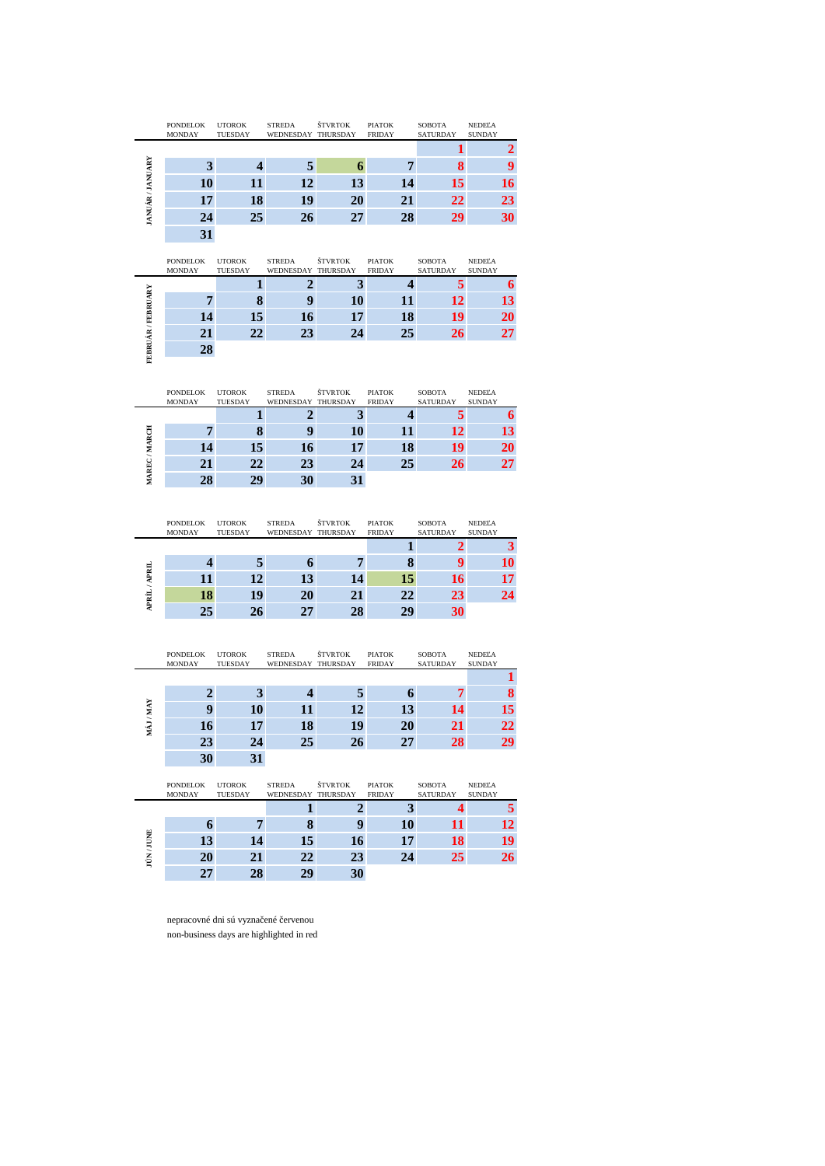|                       | PONDELOK<br><b>MONDAY</b> | <b>UTOROK</b><br>TUESDAY | <b>STREDA</b><br>WEDNESDAY THURSDAY | <b>ŠTVRTOK</b> | <b>PIATOK</b><br><b>FRIDAY</b> | <b>SOBOTA</b><br><b>SATURDAY</b> | <b>NEDELA</b><br><b>SUNDAY</b> |
|-----------------------|---------------------------|--------------------------|-------------------------------------|----------------|--------------------------------|----------------------------------|--------------------------------|
|                       |                           |                          |                                     |                |                                |                                  |                                |
| <b>JANUÁR/JANUARY</b> |                           |                          |                                     |                |                                |                                  |                                |
|                       | 10                        | п                        | 12                                  | 13             | 14                             | 15                               | 16                             |
|                       | 17                        | 18                       | 19                                  | 20             | 21                             | 22                               | 23                             |
|                       | 24                        | 25                       | 26                                  | 27             | 28                             | 29                               | 30                             |
|                       | 31                        |                          |                                     |                |                                |                                  |                                |

|                    | <b>PONDELOK</b><br><b>MONDAY</b> | <b>UTOROK</b><br>TUESDAY | <b>STREDA</b><br>WEDNESDAY THURSDAY | <b>ŠTVRTOK</b> | <b>PIATOK</b><br><b>FRIDAY</b> | <b>SOBOTA</b><br><b>SATURDAY</b> | NEDELA<br><b>SUNDAY</b> |
|--------------------|----------------------------------|--------------------------|-------------------------------------|----------------|--------------------------------|----------------------------------|-------------------------|
|                    |                                  |                          |                                     | ×.             |                                |                                  |                         |
| FEBRUÁR / FEBRUARY |                                  |                          |                                     | 10             | п                              | 12                               | 13                      |
|                    | 14                               | 15                       | 16                                  | 17             | 18                             | 19                               | 20                      |
|                    | 21                               | 22                       | 23                                  | 24             | 25                             | 26                               | 27                      |
|                    | 28                               |                          |                                     |                |                                |                                  |                         |
|                    |                                  |                          |                                     |                |                                |                                  |                         |

|             | <b>PONDELOK</b><br><b>MONDAY</b> | <b>UTOROK</b><br>TUESDAY | <b>STREDA</b><br>WEDNESDAY THURSDAY | <b>ŠTVRTOK</b> | <b>PIATOK</b><br><b>FRIDAY</b> | <b>SOBOTA</b><br><b>SATURDAY</b> | NEDELA<br><b>SUNDAY</b> |
|-------------|----------------------------------|--------------------------|-------------------------------------|----------------|--------------------------------|----------------------------------|-------------------------|
|             |                                  |                          |                                     |                |                                |                                  | o                       |
|             |                                  |                          |                                     | 10             |                                | 12.                              | 13                      |
| /MARCH      | 14                               | 15                       | 16                                  | 17             | 18                             | 19                               | 20                      |
| <b>AREC</b> |                                  | 22                       | 23                                  | 24             | 25                             | 26                               | 27                      |
|             | 28                               | 20                       |                                     |                |                                |                                  |                         |

|                    | <b>PONDELOK</b><br><b>MONDAY</b> | <b>UTOROK</b><br>TUESDAY | <b>STREDA</b><br>WEDNESDAY THURSDAY | <b>ŠTVRTOK</b> | <b>PIATOK</b><br><b>FRIDAY</b> | <b>SOBOTA</b><br><b>SATURDAY</b> | NEDELA<br><b>SUNDAY</b> |
|--------------------|----------------------------------|--------------------------|-------------------------------------|----------------|--------------------------------|----------------------------------|-------------------------|
|                    |                                  |                          |                                     |                |                                |                                  |                         |
|                    |                                  |                          |                                     |                | о                              |                                  | 10                      |
| <b>APRIL</b><br>×. |                                  | 12                       | 13                                  | 14             | 15                             | 16                               | 17                      |
| <b>APRÍL</b>       | 18                               | 19                       | 20                                  | 21             | 22                             | 23                               | 24                      |
|                    | 25                               | 26                       | 27                                  | 28             | 29                             | 30                               |                         |

|                       | $\overline{\mathbf{3}}$          | $\overline{\mathbf{4}}$  | 5                                   | 6                   | 7                              | 8                         | 9                              |
|-----------------------|----------------------------------|--------------------------|-------------------------------------|---------------------|--------------------------------|---------------------------|--------------------------------|
| <b>JANUÁR/JANUARY</b> | 10                               | 11                       | 12                                  | 13                  | 14                             | 15                        | 16                             |
|                       | 17                               | 18                       | 19                                  | 20                  | 21                             | $\overline{22}$           | 23                             |
|                       | 24                               | 25                       | 26                                  | 27                  | 28                             | 29                        | 30                             |
|                       | 31                               |                          |                                     |                     |                                |                           |                                |
|                       | <b>PONDELOK</b><br><b>MONDAY</b> | <b>UTOROK</b><br>TUESDAY | <b>STREDA</b><br>WEDNESDAY          | ŠTVRTOK<br>THURSDAY | <b>PIATOK</b><br><b>FRIDAY</b> | <b>SOBOTA</b><br>SATURDAY | <b>NEDELA</b><br><b>SUNDAY</b> |
|                       |                                  | 1                        | $\overline{2}$                      | 3                   | $\overline{\mathbf{4}}$        | 5                         | $\boldsymbol{6}$               |
| FEBRUÁR / FEBRUARY    | $\overline{7}$                   | 8                        | 9                                   | 10                  | 11                             | 12                        | 13                             |
|                       | 14                               | 15                       | 16                                  | 17                  | 18                             | 19                        | $\overline{20}$                |
|                       | 21                               | 22                       | 23                                  | 24                  | 25                             | 26                        | 27                             |
|                       | 28                               |                          |                                     |                     |                                |                           |                                |
|                       | <b>PONDELOK</b><br>MONDAY        | <b>UTOROK</b><br>TUESDAY | <b>STREDA</b><br>WEDNESDAY          | ŠTVRTOK<br>THURSDAY | PIATOK<br><b>FRIDAY</b>        | SOBOTA<br><b>SATURDAY</b> | NEDEĽA<br><b>SUNDAY</b>        |
|                       |                                  | $\mathbf{1}$             | $\overline{2}$                      | 3                   | 4                              | 5                         | $\overline{\mathbf{6}}$        |
| MAREC/MARCH           | $\overline{7}$                   | 8                        | 9                                   | 10                  | 11                             | 12                        | 13                             |
|                       | 14                               | 15                       | 16                                  | 17                  | 18                             | 19                        | 20                             |
|                       | 21                               | $\overline{22}$          | 23                                  | 24                  | 25                             | 26                        | 27                             |
|                       | 28                               | 29                       | 30                                  | 31                  |                                |                           |                                |
|                       |                                  |                          |                                     |                     |                                |                           |                                |
|                       | <b>PONDELOK</b><br>MONDAY        | <b>UTOROK</b><br>TUESDAY | <b>STREDA</b><br>WEDNESDAY THURSDAY | ŠTVRTOK             | <b>PIATOK</b><br><b>FRIDAY</b> | SOBOTA<br>SATURDAY        | <b>NEDELA</b><br><b>SUNDAY</b> |
|                       |                                  |                          |                                     |                     | 1                              | $\overline{2}$            | $\overline{\mathbf{3}}$        |
|                       | $\overline{\mathbf{4}}$          | 5                        | 6                                   | $\overline{7}$      | 8                              | 9                         | 10                             |
|                       | 11                               | 12                       | 13                                  | 14                  | 15                             | 16                        | 17                             |
| APRÍL / APRIL         | 18                               | 19                       | 20                                  | 21                  | 22                             | 23                        | $\overline{24}$                |
|                       | 25                               | 26                       | 27                                  | 28                  | 29                             | 30                        |                                |
|                       | <b>PONDELOK</b><br>MONDAY        | <b>UTOROK</b><br>TUESDAY | <b>STREDA</b><br>WEDNESDAY THURSDAY | <b>ŠTVRTOK</b>      | <b>PIATOK</b><br><b>FRIDAY</b> | <b>SOBOTA</b><br>SATURDAY | <b>NEDELA</b><br><b>SUNDAY</b> |
|                       |                                  |                          |                                     |                     |                                |                           | 1                              |
|                       | $\overline{2}$                   | $\overline{\mathbf{3}}$  | 4                                   | 5                   | 6                              | 7                         | 8                              |
|                       | 9                                | 10                       | 11                                  | 12                  | 13                             | 14                        | 15                             |
| MAJ/MAY               | 16                               | 17                       | 18                                  | 19                  | 20                             | 21                        | $\overline{22}$                |
|                       | 23                               | 24                       | 25                                  | 26                  | 27                             | 28                        | 29                             |
|                       | 30<br><b>PONDELOK</b>            | 31<br><b>UTOROK</b>      | <b>STREDA</b>                       | ŠTVRTOK             | <b>PIATOK</b>                  | <b>SOBOTA</b>             | <b>NEDELA</b>                  |
|                       | <b>MONDAY</b>                    | TUESDAY                  | WEDNESDAY THURSDAY                  |                     | <b>FRIDAY</b>                  | SATURDAY                  | <b>SUNDAY</b>                  |
|                       |                                  |                          | $\mathbf{1}$                        | $\overline{2}$<br>9 | $\overline{\mathbf{3}}$        | 4                         | 5                              |
| <b>TÚN/JUNE</b>       | 6<br>13                          | 7<br>14                  | 8<br>15                             | 16                  | 10<br>17                       | 11<br>18                  | 12<br>19                       |

|             | <b>PONDELOK</b><br><b>MONDAY</b> | <b>UTOROK</b><br>TUESDAY | <b>STREDA</b><br>WEDNESDAY THURSDAY | <b>ŠTVRTOK</b> | <b>PIATOK</b><br><b>FRIDAY</b> | <b>SOBOTA</b><br><b>SATURDAY</b> | NEDELA<br><b>SUNDAY</b> |
|-------------|----------------------------------|--------------------------|-------------------------------------|----------------|--------------------------------|----------------------------------|-------------------------|
|             |                                  |                          |                                     |                |                                |                                  |                         |
|             |                                  |                          |                                     | q              | 10                             |                                  | 12                      |
| <b>JUNE</b> | 13                               | 14                       | 15                                  | 16             | 17                             | 18                               | 19                      |
| ίŘ          | 20                               | 21                       | 22                                  | 23             | 24                             | 25                               | 26                      |
|             | 27                               | 28                       | 29                                  | 30             |                                |                                  |                         |

nepracovné dni sú vyznačené červenou non-business days are highlighted in red